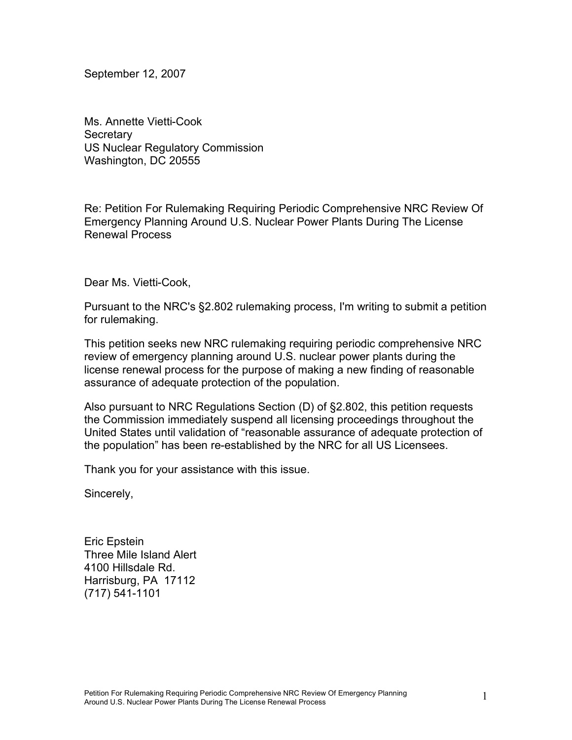September 12, 2007

Ms. Annette Vietti-Cook **Secretary** US Nuclear Regulatory Commission Washington, DC 20555

Re: Petition For Rulemaking Requiring Periodic Comprehensive NRC Review Of Emergency Planning Around U.S. Nuclear Power Plants During The License Renewal Process

Dear Ms. Vietti-Cook,

Pursuant to the NRC's §2.802 rulemaking process, I'm writing to submit a petition for rulemaking.

This petition seeks new NRC rulemaking requiring periodic comprehensive NRC review of emergency planning around U.S. nuclear power plants during the license renewal process for the purpose of making a new finding of reasonable assurance of adequate protection of the population.

Also pursuant to NRC Regulations Section (D) of §2.802, this petition requests the Commission immediately suspend all licensing proceedings throughout the United States until validation of "reasonable assurance of adequate protection of the population" has been re-established by the NRC for all US Licensees.

Thank you for your assistance with this issue.

Sincerely,

Eric Epstein Three Mile Island Alert 4100 Hillsdale Rd. Harrisburg, PA 17112 (717) 541-1101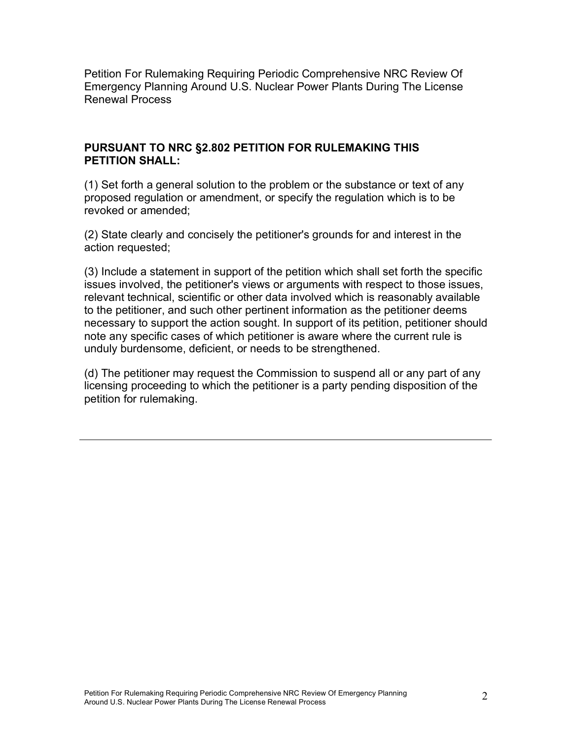Petition For Rulemaking Requiring Periodic Comprehensive NRC Review Of Emergency Planning Around U.S. Nuclear Power Plants During The License Renewal Process

### **PURSUANT TO NRC §2.802 PETITION FOR RULEMAKING THIS PETITION SHALL:**

(1) Set forth a general solution to the problem or the substance or text of any proposed regulation or amendment, or specify the regulation which is to be revoked or amended;

(2) State clearly and concisely the petitioner's grounds for and interest in the action requested;

(3) Include a statement in support of the petition which shall set forth the specific issues involved, the petitioner's views or arguments with respect to those issues, relevant technical, scientific or other data involved which is reasonably available to the petitioner, and such other pertinent information as the petitioner deems necessary to support the action sought. In support of its petition, petitioner should note any specific cases of which petitioner is aware where the current rule is unduly burdensome, deficient, or needs to be strengthened.

(d) The petitioner may request the Commission to suspend all or any part of any licensing proceeding to which the petitioner is a party pending disposition of the petition for rulemaking.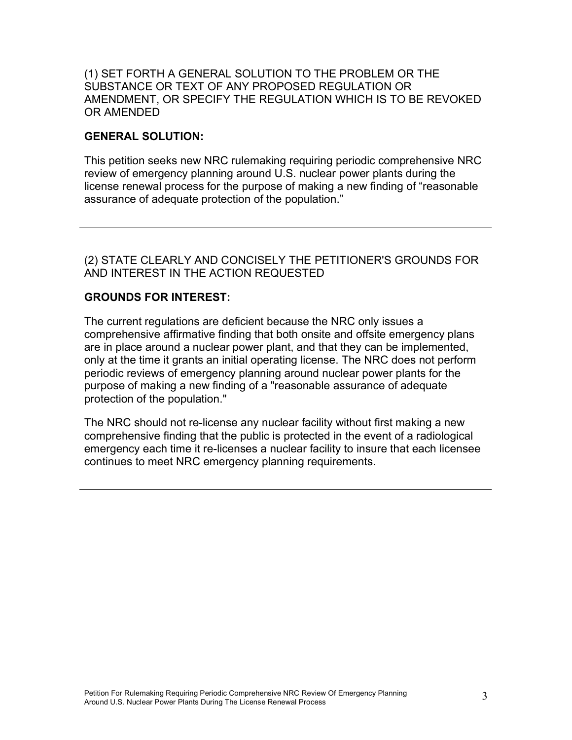#### (1) SET FORTH A GENERAL SOLUTION TO THE PROBLEM OR THE SUBSTANCE OR TEXT OF ANY PROPOSED REGULATION OR AMENDMENT, OR SPECIFY THE REGULATION WHICH IS TO BE REVOKED OR AMENDED

# **GENERAL SOLUTION:**

This petition seeks new NRC rulemaking requiring periodic comprehensive NRC review of emergency planning around U.S. nuclear power plants during the license renewal process for the purpose of making a new finding of "reasonable assurance of adequate protection of the population."

# (2) STATE CLEARLY AND CONCISELY THE PETITIONER'S GROUNDS FOR AND INTEREST IN THE ACTION REQUESTED

# **GROUNDS FOR INTEREST:**

The current regulations are deficient because the NRC only issues a comprehensive affirmative finding that both onsite and offsite emergency plans are in place around a nuclear power plant, and that they can be implemented, only at the time it grants an initial operating license. The NRC does not perform periodic reviews of emergency planning around nuclear power plants for the purpose of making a new finding of a "reasonable assurance of adequate protection of the population."

The NRC should not re-license any nuclear facility without first making a new comprehensive finding that the public is protected in the event of a radiological emergency each time it re-licenses a nuclear facility to insure that each licensee continues to meet NRC emergency planning requirements.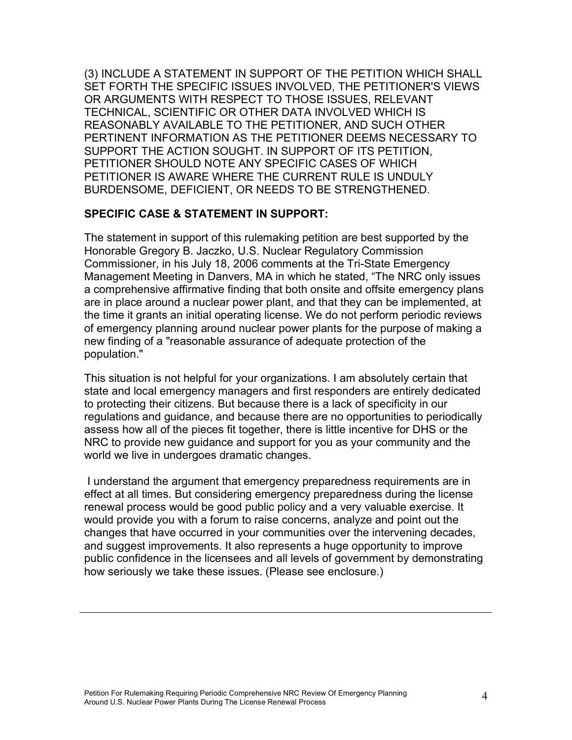(3) INCLUDE A STATEMENT IN SUPPORT OF THE PETITION WHICH SHALL SET FORTH THE SPECIFIC ISSUES INVOLVED, THE PETITIONER'S VIEWS OR ARGUMENTS WITH RESPECT TO THOSE ISSUES, RELEVANT TECHNICAL, SCIENTIFIC OR OTHER DATA INVOLVED WHICH IS REASONABLY AVAILABLE TO THE PETITIONER, AND SUCH OTHER PERTINENT INFORMATION AS THE PETITIONER DEEMS NECESSARY TO SUPPORT THE ACTION SOUGHT. IN SUPPORT OF ITS PETITION, PETITIONER SHOULD NOTE ANY SPECIFIC CASES OF WHICH PETITIONER IS AWARE WHERE THE CURRENT RULE IS UNDULY BURDENSOME, DEFICIENT, OR NEEDS TO BE STRENGTHENED.

#### **SPECIFIC CASE & STATEMENT IN SUPPORT:**

The statement in support of this rulemaking petition are best supported by the Honorable Gregory B. Jaczko, U.S. Nuclear Regulatory Commission Commissioner, in his July 18, 2006 comments at the Tri-State Emergency Management Meeting in Danvers, MA in which he stated, "The NRC only issues a comprehensive affirmative finding that both onsite and offsite emergency plans are in place around a nuclear power plant, and that they can be implemented, at the time it grants an initial operating license. We do not perform periodic reviews of emergency planning around nuclear power plants for the purpose of making a new finding of a "reasonable assurance of adequate protection of the population."

This situation is not helpful for your organizations. I am absolutely certain that state and local emergency managers and first responders are entirely dedicated to protecting their citizens. But because there is a lack of specificity in our regulations and guidance, and because there are no opportunities to periodically assess how all of the pieces fit together, there is little incentive for DHS or the NRC to provide new guidance and support for you as your community and the world we live in undergoes dramatic changes.

I understand the argument that emergency preparedness requirements are in effect at all times. But considering emergency preparedness during the license renewal process would be good public policy and a very valuable exercise. It would provide you with a forum to raise concerns, analyze and point out the changes that have occurred in your communities over the intervening decades, and suggest improvements. It also represents a huge opportunity to improve public confidence in the licensees and all levels of government by demonstrating how seriously we take these issues. (Please see enclosure.)